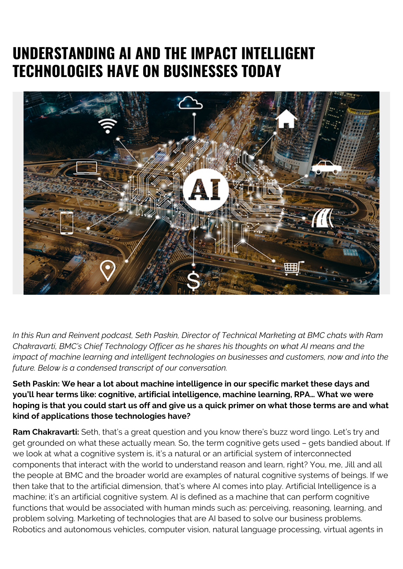## **UNDERSTANDING AI AND THE IMPACT INTELLIGENT TECHNOLOGIES HAVE ON BUSINESSES TODAY**



*In this Run and Reinvent podcast, Seth Paskin, Director of Technical Marketing at BMC chats with Ram Chakravarti, BMC's Chief Technology Officer as he shares his thoughts on what AI means and the impact of machine learning and intelligent technologies on businesses and customers, now and into the future. Below is a condensed transcript of our conversation.*

**Seth Paskin: We hear a lot about machine intelligence in our specific market these days and you'll hear terms like: cognitive, artificial intelligence, machine learning, RPA… What we were hoping is that you could start us off and give us a quick primer on what those terms are and what kind of applications those technologies have?**

**Ram Chakravarti:** Seth, that's a great question and you know there's buzz word lingo. Let's try and get grounded on what these actually mean. So, the term cognitive gets used – gets bandied about. If we look at what a cognitive system is, it's a natural or an artificial system of interconnected components that interact with the world to understand reason and learn, right? You, me, Jill and all the people at BMC and the broader world are examples of natural cognitive systems of beings. If we then take that to the artificial dimension, that's where AI comes into play. Artificial Intelligence is a machine; it's an artificial cognitive system. AI is defined as a machine that can perform cognitive functions that would be associated with human minds such as: perceiving, reasoning, learning, and problem solving. Marketing of technologies that are AI based to solve our business problems. Robotics and autonomous vehicles, computer vision, natural language processing, virtual agents in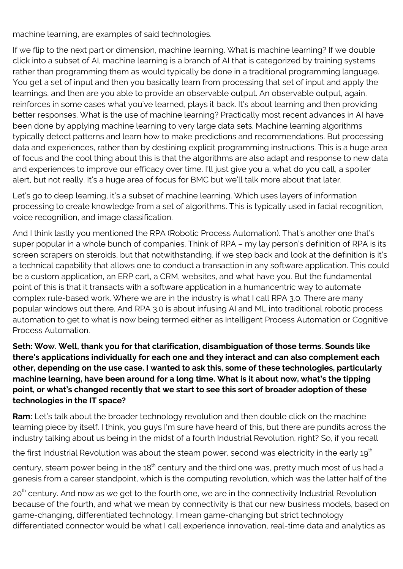machine learning, are examples of said technologies.

If we flip to the next part or dimension, machine learning. What is machine learning? If we double click into a subset of AI, machine learning is a branch of AI that is categorized by training systems rather than programming them as would typically be done in a traditional programming language. You get a set of input and then you basically learn from processing that set of input and apply the learnings, and then are you able to provide an observable output. An observable output, again, reinforces in some cases what you've learned, plays it back. It's about learning and then providing better responses. What is the use of machine learning? Practically most recent advances in AI have been done by applying machine learning to very large data sets. Machine learning algorithms typically detect patterns and learn how to make predictions and recommendations. But processing data and experiences, rather than by destining explicit programming instructions. This is a huge area of focus and the cool thing about this is that the algorithms are also adapt and response to new data and experiences to improve our efficacy over time. I'll just give you a, what do you call, a spoiler alert, but not really. It's a huge area of focus for BMC but we'll talk more about that later.

Let's go to deep learning, it's a subset of machine learning. Which uses layers of information processing to create knowledge from a set of algorithms. This is typically used in facial recognition, voice recognition, and image classification.

And I think lastly you mentioned the RPA (Robotic Process Automation). That's another one that's super popular in a whole bunch of companies. Think of RPA – my lay person's definition of RPA is its screen scrapers on steroids, but that notwithstanding, if we step back and look at the definition is it's a technical capability that allows one to conduct a transaction in any software application. This could be a custom application, an ERP cart, a CRM, websites, and what have you. But the fundamental point of this is that it transacts with a software application in a humancentric way to automate complex rule-based work. Where we are in the industry is what I call RPA 3.0. There are many popular windows out there. And RPA 3.0 is about infusing AI and ML into traditional robotic process automation to get to what is now being termed either as Intelligent Process Automation or Cognitive Process Automation.

**Seth: Wow. Well, thank you for that clarification, disambiguation of those terms. Sounds like there's applications individually for each one and they interact and can also complement each other, depending on the use case. I wanted to ask this, some of these technologies, particularly machine learning, have been around for a long time. What is it about now, what's the tipping point, or what's changed recently that we start to see this sort of broader adoption of these technologies in the IT space?**

**Ram:** Let's talk about the broader technology revolution and then double click on the machine learning piece by itself. I think, you guys I'm sure have heard of this, but there are pundits across the industry talking about us being in the midst of a fourth Industrial Revolution, right? So, if you recall

the first Industrial Revolution was about the steam power, second was electricity in the early  $19<sup>th</sup>$ 

century, steam power being in the 18<sup>th</sup> century and the third one was, pretty much most of us had a genesis from a career standpoint, which is the computing revolution, which was the latter half of the

20<sup>th</sup> century. And now as we get to the fourth one, we are in the connectivity Industrial Revolution because of the fourth, and what we mean by connectivity is that our new business models, based on game-changing, differentiated technology, I mean game-changing but strict technology differentiated connector would be what I call experience innovation, real-time data and analytics as